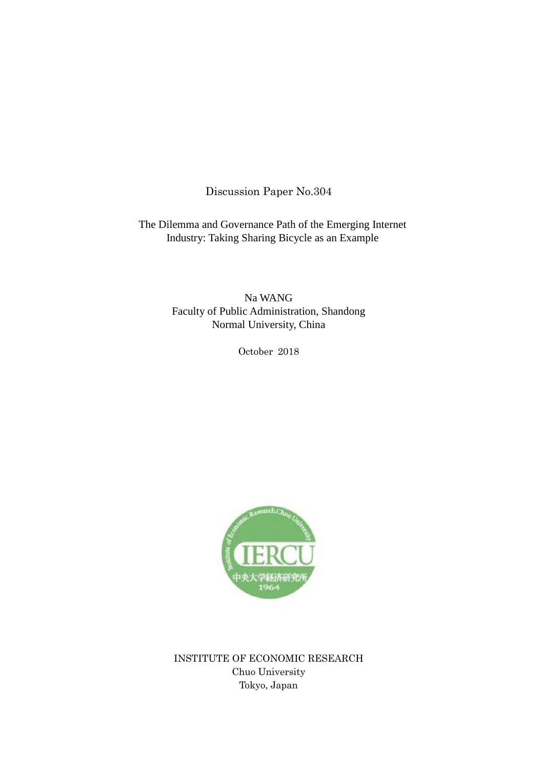Discussion Paper No.304

The Dilemma and Governance Path of the Emerging Internet Industry: Taking Sharing Bicycle as an Example

> Na WANG Faculty of Public Administration, Shandong Normal University, China

> > October 2018



INSTITUTE OF ECONOMIC RESEARCH Chuo University Tokyo, Japan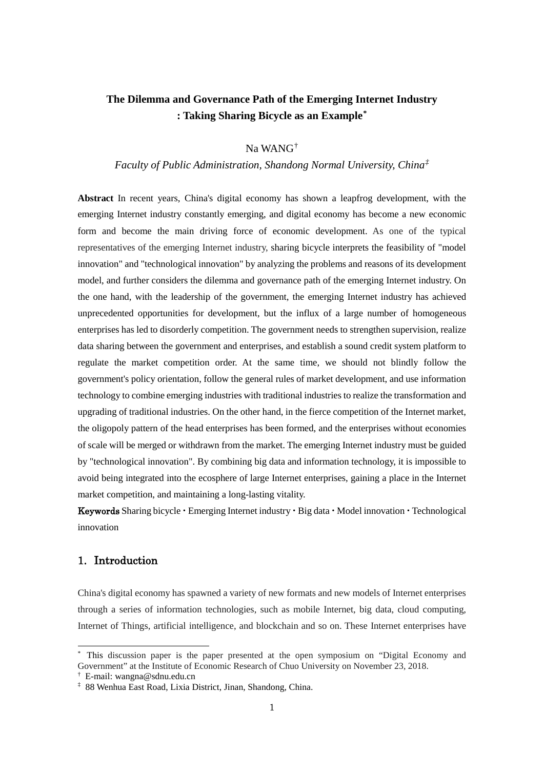## **The Dilemma and Governance Path of the Emerging Internet Industry : Taking Sharing Bicycle as an Example[\\*](#page-1-0)**

Na WANG[†](#page-1-1)

*Faculty of Public Administration, Shandong Normal University, China[‡](#page-1-2)*

**Abstract** In recent years, China's digital economy has shown a leapfrog development, with the emerging Internet industry constantly emerging, and digital economy has become a new economic form and become the main driving force of economic development. As one of the typical representatives of the emerging Internet industry, sharing bicycle interprets the feasibility of "model innovation" and "technological innovation" by analyzing the problems and reasons of its development model, and further considers the dilemma and governance path of the emerging Internet industry. On the one hand, with the leadership of the government, the emerging Internet industry has achieved unprecedented opportunities for development, but the influx of a large number of homogeneous enterprises has led to disorderly competition. The government needs to strengthen supervision, realize data sharing between the government and enterprises, and establish a sound credit system platform to regulate the market competition order. At the same time, we should not blindly follow the government's policy orientation, follow the general rules of market development, and use information technology to combine emerging industries with traditional industries to realize the transformation and upgrading of traditional industries. On the other hand, in the fierce competition of the Internet market, the oligopoly pattern of the head enterprises has been formed, and the enterprises without economies of scale will be merged or withdrawn from the market. The emerging Internet industry must be guided by "technological innovation". By combining big data and information technology, it is impossible to avoid being integrated into the ecosphere of large Internet enterprises, gaining a place in the Internet market competition, and maintaining a long-lasting vitality.

Keywords Sharing bicycle・Emerging Internet industry・Big data・Model innovation・Technological innovation

## 1. Introduction

China's digital economy has spawned a variety of new formats and new models of Internet enterprises through a series of information technologies, such as mobile Internet, big data, cloud computing, Internet of Things, artificial intelligence, and blockchain and so on. These Internet enterprises have

<span id="page-1-0"></span>\* This discussion paper is the paper presented at the open symposium on "Digital Economy and Government" at the Institute of Economic Research of Chuo University on November 23, 2018.

<span id="page-1-1"></span><sup>†</sup> E-mail: wangna@sdnu.edu.cn

<span id="page-1-2"></span><sup>‡</sup> 88 Wenhua East Road, Lixia District, Jinan, Shandong, China.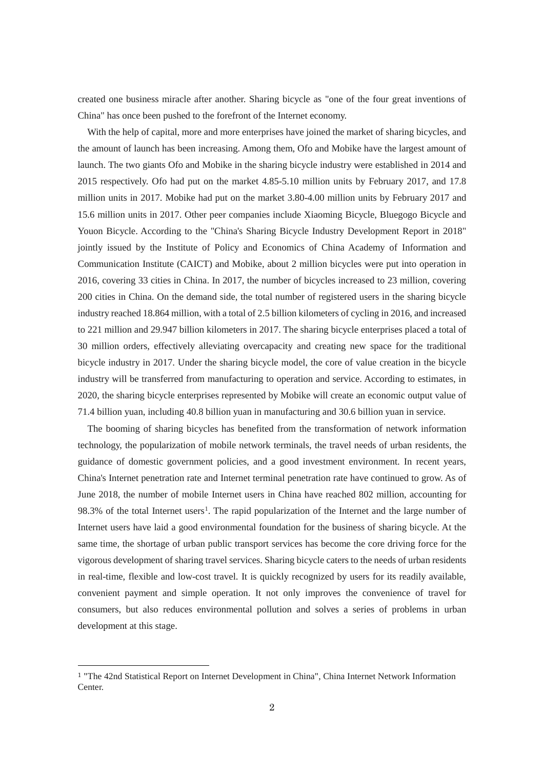created one business miracle after another. Sharing bicycle as "one of the four great inventions of China" has once been pushed to the forefront of the Internet economy.

With the help of capital, more and more enterprises have joined the market of sharing bicycles, and the amount of launch has been increasing. Among them, Ofo and Mobike have the largest amount of launch. The two giants Ofo and Mobike in the sharing bicycle industry were established in 2014 and 2015 respectively. Ofo had put on the market 4.85-5.10 million units by February 2017, and 17.8 million units in 2017. Mobike had put on the market 3.80-4.00 million units by February 2017 and 15.6 million units in 2017. Other peer companies include Xiaoming Bicycle, Bluegogo Bicycle and Youon Bicycle. According to the "China's Sharing Bicycle Industry Development Report in 2018" jointly issued by the Institute of Policy and Economics of China Academy of Information and Communication Institute (CAICT) and Mobike, about 2 million bicycles were put into operation in 2016, covering 33 cities in China. In 2017, the number of bicycles increased to 23 million, covering 200 cities in China. On the demand side, the total number of registered users in the sharing bicycle industry reached 18.864 million, with a total of 2.5 billion kilometers of cycling in 2016, and increased to 221 million and 29.947 billion kilometers in 2017. The sharing bicycle enterprises placed a total of 30 million orders, effectively alleviating overcapacity and creating new space for the traditional bicycle industry in 2017. Under the sharing bicycle model, the core of value creation in the bicycle industry will be transferred from manufacturing to operation and service. According to estimates, in 2020, the sharing bicycle enterprises represented by Mobike will create an economic output value of 71.4 billion yuan, including 40.8 billion yuan in manufacturing and 30.6 billion yuan in service.

The booming of sharing bicycles has benefited from the transformation of network information technology, the popularization of mobile network terminals, the travel needs of urban residents, the guidance of domestic government policies, and a good investment environment. In recent years, China's Internet penetration rate and Internet terminal penetration rate have continued to grow. As of June 2018, the number of mobile Internet users in China have reached 802 million, accounting for 98.3% of the total Internet users<sup>1</sup>. The rapid popularization of the Internet and the large number of Internet users have laid a good environmental foundation for the business of sharing bicycle. At the same time, the shortage of urban public transport services has become the core driving force for the vigorous development of sharing travel services. Sharing bicycle caters to the needs of urban residents in real-time, flexible and low-cost travel. It is quickly recognized by users for its readily available, convenient payment and simple operation. It not only improves the convenience of travel for consumers, but also reduces environmental pollution and solves a series of problems in urban development at this stage.

<span id="page-2-0"></span> <sup>1</sup> "The 42nd Statistical Report on Internet Development in China", China Internet Network Information Center.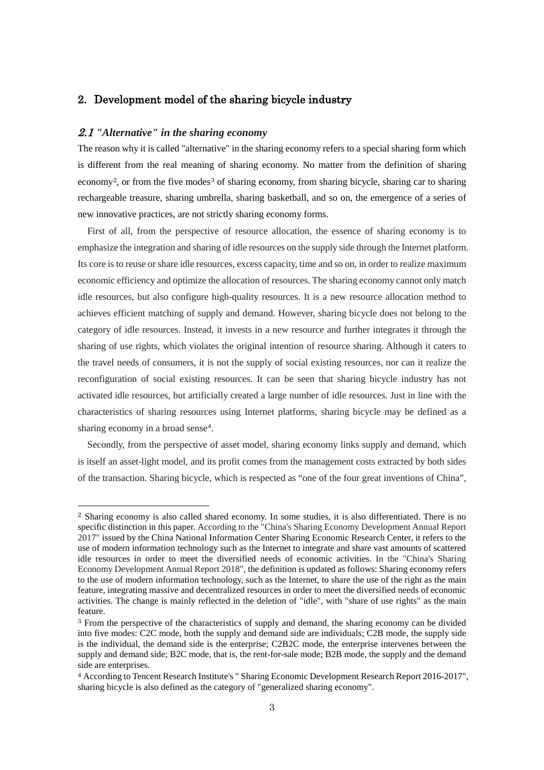### 2. Development model of the sharing bicycle industry

#### 2.1 *"Alternative" in the sharing economy*

The reason why it is called "alternative" in the sharing economy refers to a special sharing form which is different from the real meaning of sharing economy. No matter from the definition of sharing economy<sup>[2](#page-3-0)</sup>, or from the five modes<sup>[3](#page-3-1)</sup> of sharing economy, from sharing bicycle, sharing car to sharing rechargeable treasure, sharing umbrella, sharing basketball, and so on, the emergence of a series of new innovative practices, are not strictly sharing economy forms.

First of all, from the perspective of resource allocation, the essence of sharing economy is to emphasize the integration and sharing of idle resources on the supply side through the Internet platform. Its core is to reuse or share idle resources, excess capacity, time and so on, in order to realize maximum economic efficiency and optimize the allocation of resources. The sharing economy cannot only match idle resources, but also configure high-quality resources. It is a new resource allocation method to achieves efficient matching of supply and demand. However, sharing bicycle does not belong to the category of idle resources. Instead, it invests in a new resource and further integrates it through the sharing of use rights, which violates the original intention of resource sharing. Although it caters to the travel needs of consumers, it is not the supply of social existing resources, nor can it realize the reconfiguration of social existing resources. It can be seen that sharing bicycle industry has not activated idle resources, but artificially created a large number of idle resources. Just in line with the characteristics of sharing resources using Internet platforms, sharing bicycle may be defined as a sharing economy in a broad sense<sup>[4](#page-3-2)</sup>.

Secondly, from the perspective of asset model, sharing economy links supply and demand, which is itself an asset-light model, and its profit comes from the management costs extracted by both sides of the transaction. Sharing bicycle, which is respected as "one of the four great inventions of China",

<span id="page-3-0"></span> <sup>2</sup> Sharing economy is also called shared economy. In some studies, it is also differentiated. There is no specific distinction in this paper. According to the "China's Sharing Economy Development Annual Report 2017" issued by the China National Information Center Sharing Economic Research Center, it refers to the use of modern information technology such as the Internet to integrate and share vast amounts of scattered idle resources in order to meet the diversified needs of economic activities. In the "China's Sharing Economy Development Annual Report 2018", the definition is updated as follows: Sharing economy refers to the use of modern information technology, such as the Internet, to share the use of the right as the main feature, integrating massive and decentralized resources in order to meet the diversified needs of economic activities. The change is mainly reflected in the deletion of "idle", with "share of use rights" as the main feature.

<span id="page-3-1"></span><sup>3</sup> From the perspective of the characteristics of supply and demand, the sharing economy can be divided into five modes: C2C mode, both the supply and demand side are individuals; C2B mode, the supply side is the individual, the demand side is the enterprise; C2B2C mode, the enterprise intervenes between the supply and demand side; B2C mode, that is, the rent-for-sale mode; B2B mode, the supply and the demand side are enterprises.

<span id="page-3-2"></span><sup>4</sup> According to Tencent Research Institute's " Sharing Economic Development Research Report 2016-2017", sharing bicycle is also defined as the category of "generalized sharing economy".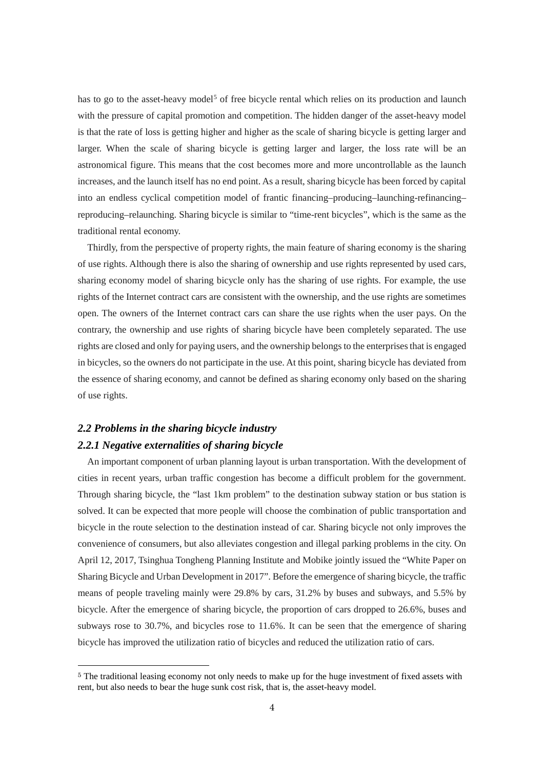has to go to the asset-heavy model<sup>[5](#page-4-0)</sup> of free bicycle rental which relies on its production and launch with the pressure of capital promotion and competition. The hidden danger of the asset-heavy model is that the rate of loss is getting higher and higher as the scale of sharing bicycle is getting larger and larger. When the scale of sharing bicycle is getting larger and larger, the loss rate will be an astronomical figure. This means that the cost becomes more and more uncontrollable as the launch increases, and the launch itself has no end point. As a result, sharing bicycle has been forced by capital into an endless cyclical competition model of frantic financing–producing–launching-refinancing– reproducing–relaunching. Sharing bicycle is similar to "time-rent bicycles", which is the same as the traditional rental economy.

Thirdly, from the perspective of property rights, the main feature of sharing economy is the sharing of use rights. Although there is also the sharing of ownership and use rights represented by used cars, sharing economy model of sharing bicycle only has the sharing of use rights. For example, the use rights of the Internet contract cars are consistent with the ownership, and the use rights are sometimes open. The owners of the Internet contract cars can share the use rights when the user pays. On the contrary, the ownership and use rights of sharing bicycle have been completely separated. The use rights are closed and only for paying users, and the ownership belongs to the enterprisesthat is engaged in bicycles, so the owners do not participate in the use. At this point, sharing bicycle has deviated from the essence of sharing economy, and cannot be defined as sharing economy only based on the sharing of use rights.

## *2.2 Problems in the sharing bicycle industry 2.2.1 Negative externalities of sharing bicycle*

An important component of urban planning layout is urban transportation. With the development of cities in recent years, urban traffic congestion has become a difficult problem for the government. Through sharing bicycle, the "last 1km problem" to the destination subway station or bus station is solved. It can be expected that more people will choose the combination of public transportation and bicycle in the route selection to the destination instead of car. Sharing bicycle not only improves the convenience of consumers, but also alleviates congestion and illegal parking problems in the city. On April 12, 2017, Tsinghua Tongheng Planning Institute and Mobike jointly issued the "White Paper on Sharing Bicycle and Urban Development in 2017". Before the emergence of sharing bicycle, the traffic means of people traveling mainly were 29.8% by cars, 31.2% by buses and subways, and 5.5% by bicycle. After the emergence of sharing bicycle, the proportion of cars dropped to 26.6%, buses and subways rose to 30.7%, and bicycles rose to 11.6%. It can be seen that the emergence of sharing bicycle has improved the utilization ratio of bicycles and reduced the utilization ratio of cars.

<span id="page-4-0"></span> <sup>5</sup> The traditional leasing economy not only needs to make up for the huge investment of fixed assets with rent, but also needs to bear the huge sunk cost risk, that is, the asset-heavy model.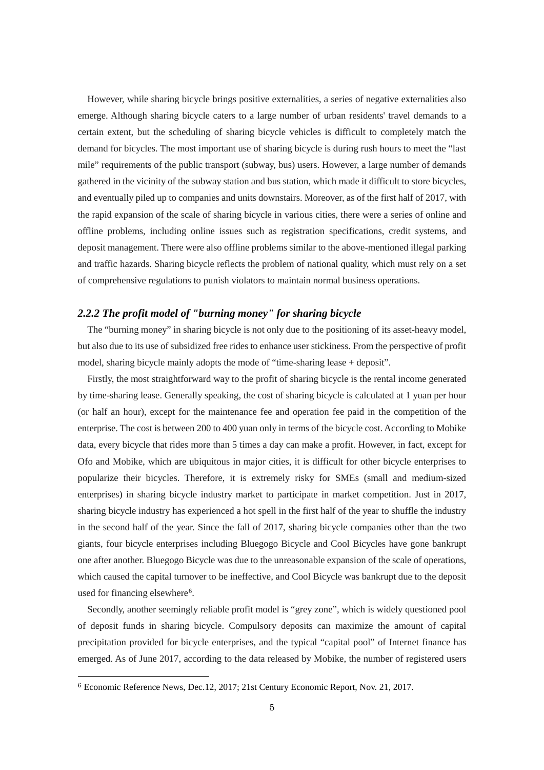However, while sharing bicycle brings positive externalities, a series of negative externalities also emerge. Although sharing bicycle caters to a large number of urban residents' travel demands to a certain extent, but the scheduling of sharing bicycle vehicles is difficult to completely match the demand for bicycles. The most important use of sharing bicycle is during rush hours to meet the "last mile" requirements of the public transport (subway, bus) users. However, a large number of demands gathered in the vicinity of the subway station and bus station, which made it difficult to store bicycles, and eventually piled up to companies and units downstairs. Moreover, as of the first half of 2017, with the rapid expansion of the scale of sharing bicycle in various cities, there were a series of online and offline problems, including online issues such as registration specifications, credit systems, and deposit management. There were also offline problems similar to the above-mentioned illegal parking and traffic hazards. Sharing bicycle reflects the problem of national quality, which must rely on a set of comprehensive regulations to punish violators to maintain normal business operations.

#### *2.2.2 The profit model of "burning money" for sharing bicycle*

The "burning money" in sharing bicycle is not only due to the positioning of its asset-heavy model, but also due to its use of subsidized free rides to enhance user stickiness. From the perspective of profit model, sharing bicycle mainly adopts the mode of "time-sharing lease + deposit".

Firstly, the most straightforward way to the profit of sharing bicycle is the rental income generated by time-sharing lease. Generally speaking, the cost of sharing bicycle is calculated at 1 yuan per hour (or half an hour), except for the maintenance fee and operation fee paid in the competition of the enterprise. The cost is between 200 to 400 yuan only in terms of the bicycle cost. According to Mobike data, every bicycle that rides more than 5 times a day can make a profit. However, in fact, except for Ofo and Mobike, which are ubiquitous in major cities, it is difficult for other bicycle enterprises to popularize their bicycles. Therefore, it is extremely risky for SMEs (small and medium-sized enterprises) in sharing bicycle industry market to participate in market competition. Just in 2017, sharing bicycle industry has experienced a hot spell in the first half of the year to shuffle the industry in the second half of the year. Since the fall of 2017, sharing bicycle companies other than the two giants, four bicycle enterprises including Bluegogo Bicycle and Cool Bicycles have gone bankrupt one after another. Bluegogo Bicycle was due to the unreasonable expansion of the scale of operations, which caused the capital turnover to be ineffective, and Cool Bicycle was bankrupt due to the deposit used for financing elsewhere<sup>[6](#page-5-0)</sup>.

Secondly, another seemingly reliable profit model is "grey zone", which is widely questioned pool of deposit funds in sharing bicycle. Compulsory deposits can maximize the amount of capital precipitation provided for bicycle enterprises, and the typical "capital pool" of Internet finance has emerged. As of June 2017, according to the data released by Mobike, the number of registered users

<span id="page-5-0"></span> <sup>6</sup> Economic Reference News, Dec.12, 2017; 21st Century Economic Report, Nov. 21, 2017.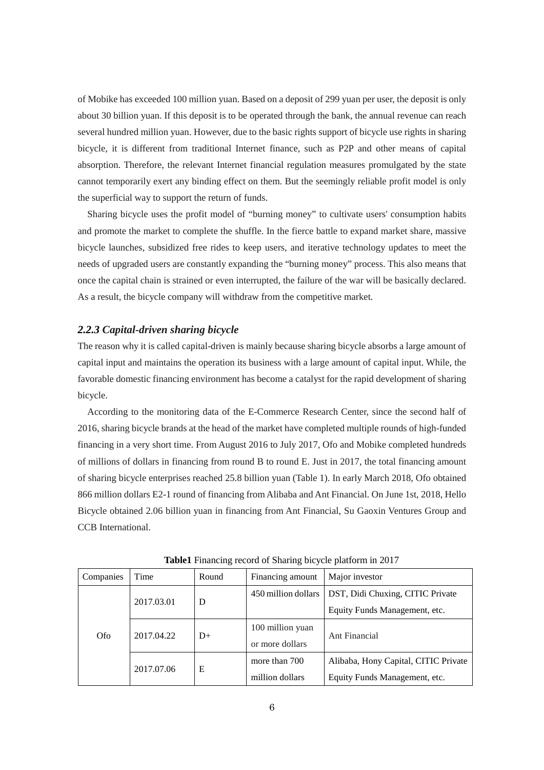of Mobike has exceeded 100 million yuan. Based on a deposit of 299 yuan per user, the deposit is only about 30 billion yuan. If this deposit is to be operated through the bank, the annual revenue can reach several hundred million yuan. However, due to the basic rights support of bicycle use rights in sharing bicycle, it is different from traditional Internet finance, such as P2P and other means of capital absorption. Therefore, the relevant Internet financial regulation measures promulgated by the state cannot temporarily exert any binding effect on them. But the seemingly reliable profit model is only the superficial way to support the return of funds.

Sharing bicycle uses the profit model of "burning money" to cultivate users' consumption habits and promote the market to complete the shuffle. In the fierce battle to expand market share, massive bicycle launches, subsidized free rides to keep users, and iterative technology updates to meet the needs of upgraded users are constantly expanding the "burning money" process. This also means that once the capital chain is strained or even interrupted, the failure of the war will be basically declared. As a result, the bicycle company will withdraw from the competitive market.

#### *2.2.3 Capital-driven sharing bicycle*

The reason why it is called capital-driven is mainly because sharing bicycle absorbs a large amount of capital input and maintains the operation its business with a large amount of capital input. While, the favorable domestic financing environment has become a catalyst for the rapid development of sharing bicycle.

 According to the monitoring data of the E-Commerce Research Center, since the second half of 2016, sharing bicycle brands at the head of the market have completed multiple rounds of high-funded financing in a very short time. From August 2016 to July 2017, Ofo and Mobike completed hundreds of millions of dollars in financing from round B to round E. Just in 2017, the total financing amount of sharing bicycle enterprises reached 25.8 billion yuan (Table 1). In early March 2018, Ofo obtained 866 million dollars E2-1 round of financing from Alibaba and Ant Financial. On June 1st, 2018, Hello Bicycle obtained 2.06 billion yuan in financing from Ant Financial, Su Gaoxin Ventures Group and CCB International.

| Companies | Time       | Round | Financing amount    | Major investor                       |
|-----------|------------|-------|---------------------|--------------------------------------|
| Ofo.      | 2017.03.01 | D     | 450 million dollars | DST, Didi Chuxing, CITIC Private     |
|           |            |       |                     | Equity Funds Management, etc.        |
|           | 2017.04.22 | $D+$  | 100 million yuan    | Ant Financial                        |
|           |            |       | or more dollars     |                                      |
|           | 2017.07.06 | Е     | more than 700       | Alibaba, Hony Capital, CITIC Private |
|           |            |       | million dollars     | Equity Funds Management, etc.        |

**Table1** Financing record of Sharing bicycle platform in 2017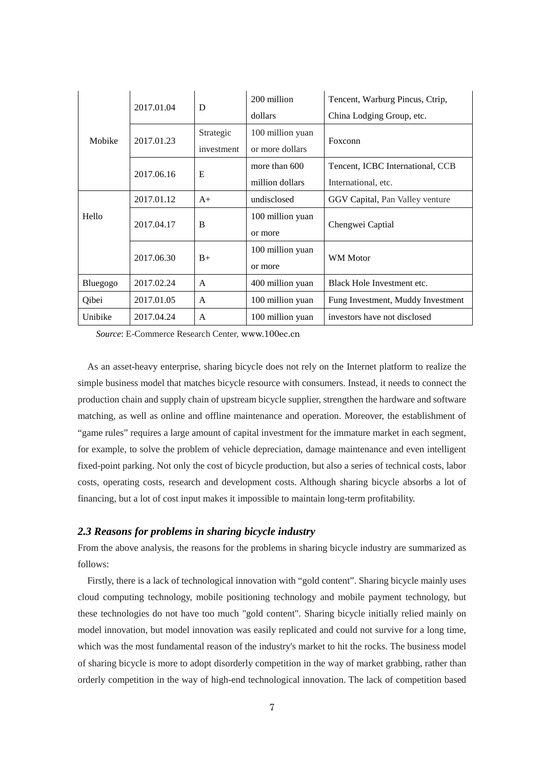|          |            | D            | 200 million      | Tencent, Warburg Pincus, Ctrip,   |
|----------|------------|--------------|------------------|-----------------------------------|
| Mobike   | 2017.01.04 |              | dollars          | China Lodging Group, etc.         |
|          | 2017.01.23 | Strategic    | 100 million yuan | Foxconn                           |
|          |            | investment   | or more dollars  |                                   |
|          | 2017.06.16 | E            | more than 600    | Tencent, ICBC International, CCB  |
|          |            |              | million dollars  | International, etc.               |
| Hello    | 2017.01.12 | $A+$         | undisclosed      | GGV Capital, Pan Valley venture   |
|          | 2017.04.17 | B            | 100 million yuan | Chengwei Captial                  |
|          |            |              | or more          |                                   |
|          | 2017.06.30 | $B+$         | 100 million yuan | WM Motor                          |
|          |            |              | or more          |                                   |
| Bluegogo | 2017.02.24 | $\mathsf{A}$ | 400 million yuan | Black Hole Investment etc.        |
| Qibei    | 2017.01.05 | $\mathsf{A}$ | 100 million yuan | Fung Investment, Muddy Investment |
| Unibike  | 2017.04.24 | A            | 100 million yuan | investors have not disclosed      |

*Source*: E-Commerce Research Center, www.100ec.cn

As an asset-heavy enterprise, sharing bicycle does not rely on the Internet platform to realize the simple business model that matches bicycle resource with consumers. Instead, it needs to connect the production chain and supply chain of upstream bicycle supplier, strengthen the hardware and software matching, as well as online and offline maintenance and operation. Moreover, the establishment of "game rules" requires a large amount of capital investment for the immature market in each segment, for example, to solve the problem of vehicle depreciation, damage maintenance and even intelligent fixed-point parking. Not only the cost of bicycle production, but also a series of technical costs, labor costs, operating costs, research and development costs. Although sharing bicycle absorbs a lot of financing, but a lot of cost input makes it impossible to maintain long-term profitability.

#### *2.3 Reasons for problems in sharing bicycle industry*

From the above analysis, the reasons for the problems in sharing bicycle industry are summarized as follows:

 Firstly, there is a lack of technological innovation with "gold content". Sharing bicycle mainly uses cloud computing technology, mobile positioning technology and mobile payment technology, but these technologies do not have too much "gold content". Sharing bicycle initially relied mainly on model innovation, but model innovation was easily replicated and could not survive for a long time, which was the most fundamental reason of the industry's market to hit the rocks. The business model of sharing bicycle is more to adopt disorderly competition in the way of market grabbing, rather than orderly competition in the way of high-end technological innovation. The lack of competition based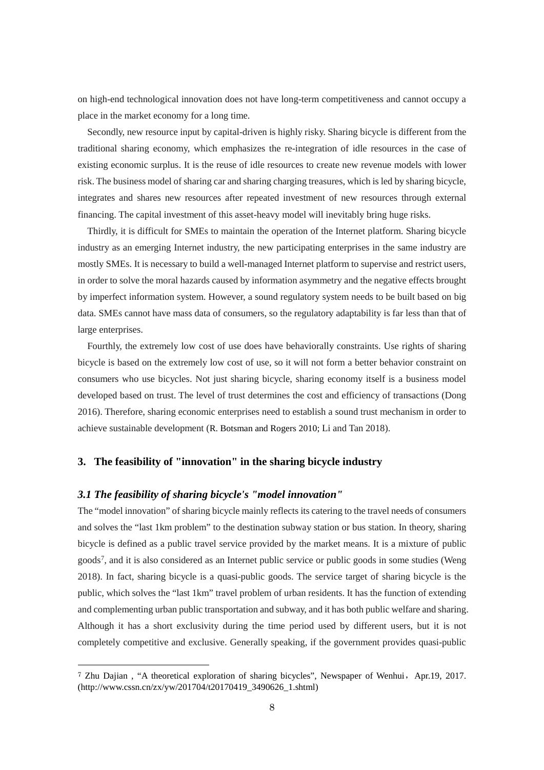on high-end technological innovation does not have long-term competitiveness and cannot occupy a place in the market economy for a long time.

Secondly, new resource input by capital-driven is highly risky. Sharing bicycle is different from the traditional sharing economy, which emphasizes the re-integration of idle resources in the case of existing economic surplus. It is the reuse of idle resources to create new revenue models with lower risk. The business model of sharing car and sharing charging treasures, which is led by sharing bicycle, integrates and shares new resources after repeated investment of new resources through external financing. The capital investment of this asset-heavy model will inevitably bring huge risks.

Thirdly, it is difficult for SMEs to maintain the operation of the Internet platform. Sharing bicycle industry as an emerging Internet industry, the new participating enterprises in the same industry are mostly SMEs. It is necessary to build a well-managed Internet platform to supervise and restrict users, in order to solve the moral hazards caused by information asymmetry and the negative effects brought by imperfect information system. However, a sound regulatory system needs to be built based on big data. SMEs cannot have mass data of consumers, so the regulatory adaptability is far less than that of large enterprises.

Fourthly, the extremely low cost of use does have behaviorally constraints. Use rights of sharing bicycle is based on the extremely low cost of use, so it will not form a better behavior constraint on consumers who use bicycles. Not just sharing bicycle, sharing economy itself is a business model developed based on trust. The level of trust determines the cost and efficiency of transactions (Dong 2016). Therefore, sharing economic enterprises need to establish a sound trust mechanism in order to achieve sustainable development (R. Botsman and Rogers 2010; Li and Tan 2018).

#### **3. The feasibility of "innovation" in the sharing bicycle industry**

#### *3.1 The feasibility of sharing bicycle's "model innovation"*

The "model innovation" of sharing bicycle mainly reflects its catering to the travel needs of consumers and solves the "last 1km problem" to the destination subway station or bus station. In theory, sharing bicycle is defined as a public travel service provided by the market means. It is a mixture of public goods[7](#page-8-0), and it is also considered as an Internet public service or public goods in some studies (Weng 2018). In fact, sharing bicycle is a quasi-public goods. The service target of sharing bicycle is the public, which solves the "last 1km" travel problem of urban residents. It has the function of extending and complementing urban public transportation and subway, and it has both public welfare and sharing. Although it has a short exclusivity during the time period used by different users, but it is not completely competitive and exclusive. Generally speaking, if the government provides quasi-public

<span id="page-8-0"></span> <sup>7</sup> Zhu Dajian , "A theoretical exploration of sharing bicycles", Newspaper of Wenhui,Apr.19, 2017. (http://www.cssn.cn/zx/yw/201704/t20170419\_3490626\_1.shtml)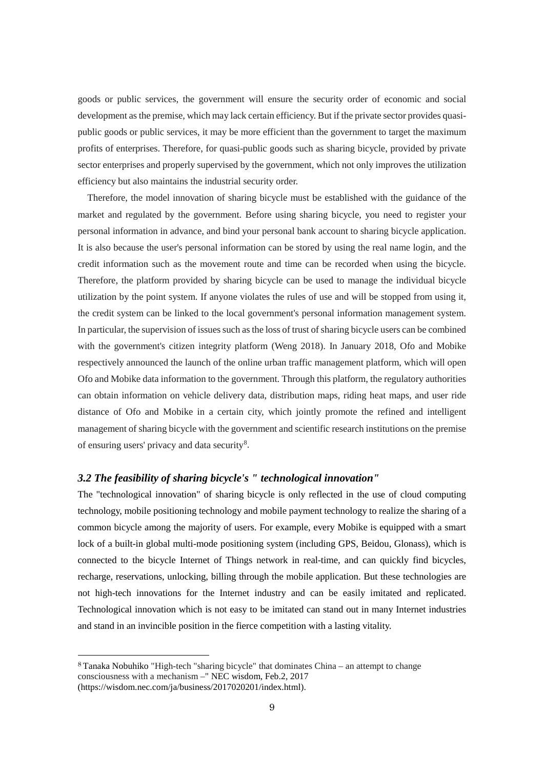goods or public services, the government will ensure the security order of economic and social development as the premise, which may lack certain efficiency. But if the private sector provides quasipublic goods or public services, it may be more efficient than the government to target the maximum profits of enterprises. Therefore, for quasi-public goods such as sharing bicycle, provided by private sector enterprises and properly supervised by the government, which not only improves the utilization efficiency but also maintains the industrial security order.

Therefore, the model innovation of sharing bicycle must be established with the guidance of the market and regulated by the government. Before using sharing bicycle, you need to register your personal information in advance, and bind your personal bank account to sharing bicycle application. It is also because the user's personal information can be stored by using the real name login, and the credit information such as the movement route and time can be recorded when using the bicycle. Therefore, the platform provided by sharing bicycle can be used to manage the individual bicycle utilization by the point system. If anyone violates the rules of use and will be stopped from using it, the credit system can be linked to the local government's personal information management system. In particular, the supervision of issues such as the loss of trust of sharing bicycle users can be combined with the government's citizen integrity platform (Weng 2018). In January 2018, Ofo and Mobike respectively announced the launch of the online urban traffic management platform, which will open Ofo and Mobike data information to the government. Through this platform, the regulatory authorities can obtain information on vehicle delivery data, distribution maps, riding heat maps, and user ride distance of Ofo and Mobike in a certain city, which jointly promote the refined and intelligent management of sharing bicycle with the government and scientific research institutions on the premise of ensuring users' privacy and data security<sup>[8](#page-9-0)</sup>.

#### *3.2 The feasibility of sharing bicycle's " technological innovation"*

The "technological innovation" of sharing bicycle is only reflected in the use of cloud computing technology, mobile positioning technology and mobile payment technology to realize the sharing of a common bicycle among the majority of users. For example, every Mobike is equipped with a smart lock of a built-in global multi-mode positioning system (including GPS, Beidou, Glonass), which is connected to the bicycle Internet of Things network in real-time, and can quickly find bicycles, recharge, reservations, unlocking, billing through the mobile application. But these technologies are not high-tech innovations for the Internet industry and can be easily imitated and replicated. Technological innovation which is not easy to be imitated can stand out in many Internet industries and stand in an invincible position in the fierce competition with a lasting vitality.

<span id="page-9-0"></span> <sup>8</sup> Tanaka Nobuhiko "High-tech "sharing bicycle" that dominates China – an attempt to change consciousness with a mechanism –" NEC wisdom, Feb.2, 2017 (https://wisdom.nec.com/ja/business/2017020201/index.html).

<sup>9</sup>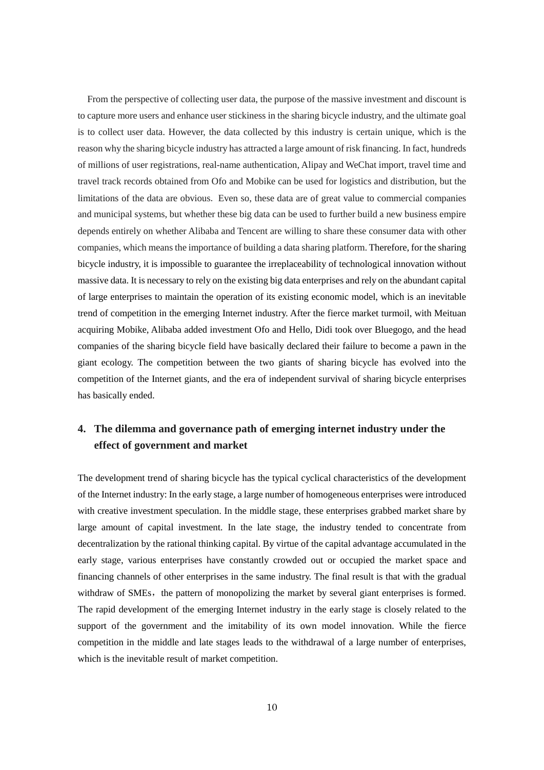From the perspective of collecting user data, the purpose of the massive investment and discount is to capture more users and enhance user stickiness in the sharing bicycle industry, and the ultimate goal is to collect user data. However, the data collected by this industry is certain unique, which is the reason why the sharing bicycle industry has attracted a large amount of risk financing. In fact, hundreds of millions of user registrations, real-name authentication, Alipay and WeChat import, travel time and travel track records obtained from Ofo and Mobike can be used for logistics and distribution, but the limitations of the data are obvious. Even so, these data are of great value to commercial companies and municipal systems, but whether these big data can be used to further build a new business empire depends entirely on whether Alibaba and Tencent are willing to share these consumer data with other companies, which means the importance of building a data sharing platform. Therefore, for the sharing bicycle industry, it is impossible to guarantee the irreplaceability of technological innovation without massive data. It is necessary to rely on the existing big data enterprises and rely on the abundant capital of large enterprises to maintain the operation of its existing economic model, which is an inevitable trend of competition in the emerging Internet industry. After the fierce market turmoil, with Meituan acquiring Mobike, Alibaba added investment Ofo and Hello, Didi took over Bluegogo, and the head companies of the sharing bicycle field have basically declared their failure to become a pawn in the giant ecology. The competition between the two giants of sharing bicycle has evolved into the competition of the Internet giants, and the era of independent survival of sharing bicycle enterprises has basically ended.

## **4. The dilemma and governance path of emerging internet industry under the effect of government and market**

The development trend of sharing bicycle has the typical cyclical characteristics of the development of the Internet industry: In the early stage, a large number of homogeneous enterprises were introduced with creative investment speculation. In the middle stage, these enterprises grabbed market share by large amount of capital investment. In the late stage, the industry tended to concentrate from decentralization by the rational thinking capital. By virtue of the capital advantage accumulated in the early stage, various enterprises have constantly crowded out or occupied the market space and financing channels of other enterprises in the same industry. The final result is that with the gradual withdraw of SMEs, the pattern of monopolizing the market by several giant enterprises is formed. The rapid development of the emerging Internet industry in the early stage is closely related to the support of the government and the imitability of its own model innovation. While the fierce competition in the middle and late stages leads to the withdrawal of a large number of enterprises, which is the inevitable result of market competition.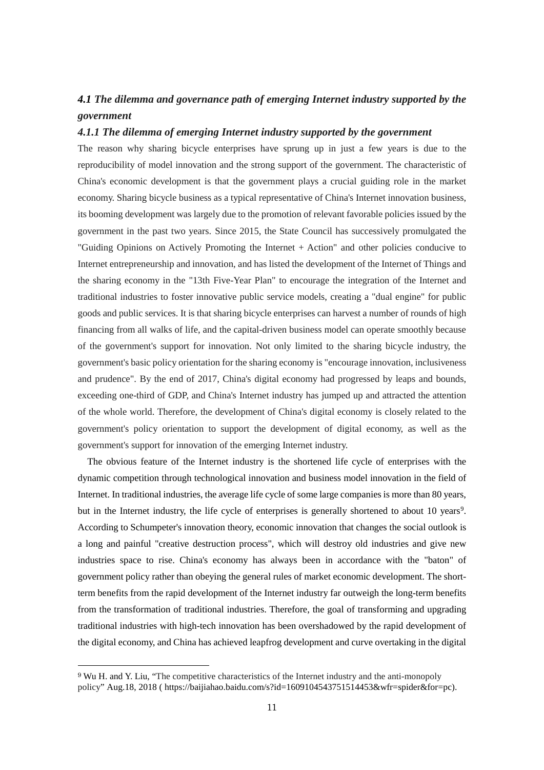# *4.1 The dilemma and governance path of emerging Internet industry supported by the government*

#### *4.1.1 The dilemma of emerging Internet industry supported by the government*

The reason why sharing bicycle enterprises have sprung up in just a few years is due to the reproducibility of model innovation and the strong support of the government. The characteristic of China's economic development is that the government plays a crucial guiding role in the market economy. Sharing bicycle business as a typical representative of China's Internet innovation business, its booming development was largely due to the promotion of relevant favorable policies issued by the government in the past two years. Since 2015, the State Council has successively promulgated the "Guiding Opinions on Actively Promoting the Internet + Action" and other policies conducive to Internet entrepreneurship and innovation, and has listed the development of the Internet of Things and the sharing economy in the "13th Five-Year Plan" to encourage the integration of the Internet and traditional industries to foster innovative public service models, creating a "dual engine" for public goods and public services. It is that sharing bicycle enterprises can harvest a number of rounds of high financing from all walks of life, and the capital-driven business model can operate smoothly because of the government's support for innovation. Not only limited to the sharing bicycle industry, the government's basic policy orientation for the sharing economy is "encourage innovation, inclusiveness and prudence". By the end of 2017, China's digital economy had progressed by leaps and bounds, exceeding one-third of GDP, and China's Internet industry has jumped up and attracted the attention of the whole world. Therefore, the development of China's digital economy is closely related to the government's policy orientation to support the development of digital economy, as well as the government's support for innovation of the emerging Internet industry.

The obvious feature of the Internet industry is the shortened life cycle of enterprises with the dynamic competition through technological innovation and business model innovation in the field of Internet. In traditional industries, the average life cycle of some large companies is more than 80 years, but in the Internet industry, the life cycle of enterprises is generally shortened to about 10 years<sup>[9](#page-11-0)</sup>. According to Schumpeter's innovation theory, economic innovation that changes the social outlook is a long and painful "creative destruction process", which will destroy old industries and give new industries space to rise. China's economy has always been in accordance with the "baton" of government policy rather than obeying the general rules of market economic development. The shortterm benefits from the rapid development of the Internet industry far outweigh the long-term benefits from the transformation of traditional industries. Therefore, the goal of transforming and upgrading traditional industries with high-tech innovation has been overshadowed by the rapid development of the digital economy, and China has achieved leapfrog development and curve overtaking in the digital

<span id="page-11-0"></span> <sup>9</sup> Wu H. and Y. Liu, "The competitive characteristics of the Internet industry and the anti-monopoly policy" Aug.18, 2018 ( https://baijiahao.baidu.com/s?id=1609104543751514453&wfr=spider&for=pc).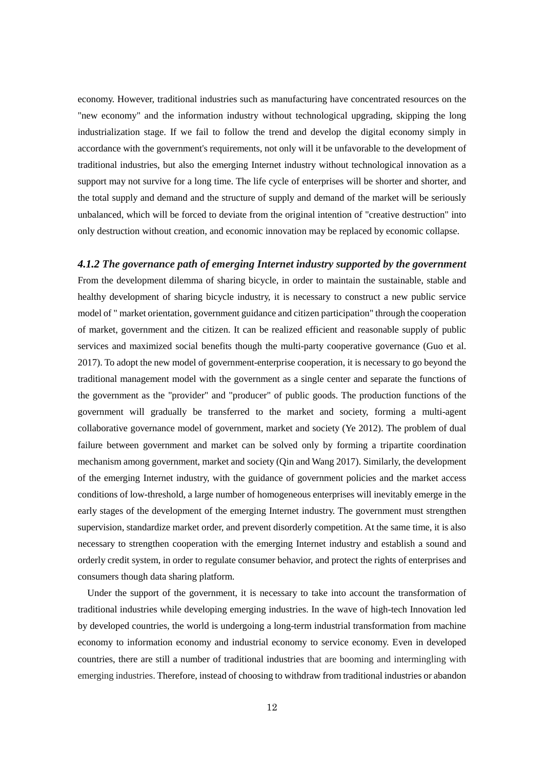economy. However, traditional industries such as manufacturing have concentrated resources on the "new economy" and the information industry without technological upgrading, skipping the long industrialization stage. If we fail to follow the trend and develop the digital economy simply in accordance with the government's requirements, not only will it be unfavorable to the development of traditional industries, but also the emerging Internet industry without technological innovation as a support may not survive for a long time. The life cycle of enterprises will be shorter and shorter, and the total supply and demand and the structure of supply and demand of the market will be seriously unbalanced, which will be forced to deviate from the original intention of "creative destruction" into only destruction without creation, and economic innovation may be replaced by economic collapse.

# *4.1.2 The governance path of emerging Internet industry supported by the government* From the development dilemma of sharing bicycle, in order to maintain the sustainable, stable and healthy development of sharing bicycle industry, it is necessary to construct a new public service model of " market orientation, government guidance and citizen participation" through the cooperation of market, government and the citizen. It can be realized efficient and reasonable supply of public services and maximized social benefits though the multi-party cooperative governance (Guo et al. 2017). To adopt the new model of government-enterprise cooperation, it is necessary to go beyond the traditional management model with the government as a single center and separate the functions of the government as the "provider" and "producer" of public goods. The production functions of the government will gradually be transferred to the market and society, forming a multi-agent collaborative governance model of government, market and society (Ye 2012). The problem of dual failure between government and market can be solved only by forming a tripartite coordination mechanism among government, market and society (Qin and Wang 2017). Similarly, the development of the emerging Internet industry, with the guidance of government policies and the market access conditions of low-threshold, a large number of homogeneous enterprises will inevitably emerge in the early stages of the development of the emerging Internet industry. The government must strengthen supervision, standardize market order, and prevent disorderly competition. At the same time, it is also necessary to strengthen cooperation with the emerging Internet industry and establish a sound and orderly credit system, in order to regulate consumer behavior, and protect the rights of enterprises and consumers though data sharing platform.

Under the support of the government, it is necessary to take into account the transformation of traditional industries while developing emerging industries. In the wave of high-tech Innovation led by developed countries, the world is undergoing a long-term industrial transformation from machine economy to information economy and industrial economy to service economy. Even in developed countries, there are still a number of traditional industries that are booming and intermingling with emerging industries. Therefore, instead of choosing to withdraw from traditional industries or abandon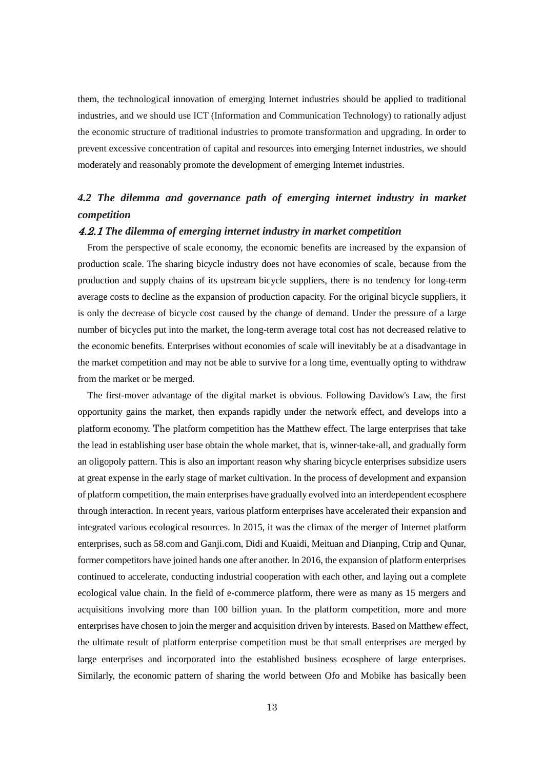them, the technological innovation of emerging Internet industries should be applied to traditional industries, and we should use ICT (Information and Communication Technology) to rationally adjust the economic structure of traditional industries to promote transformation and upgrading. In order to prevent excessive concentration of capital and resources into emerging Internet industries, we should moderately and reasonably promote the development of emerging Internet industries.

# *4.2 The dilemma and governance path of emerging internet industry in market competition*

#### 4.2.1 *The dilemma of emerging internet industry in market competition*

From the perspective of scale economy, the economic benefits are increased by the expansion of production scale. The sharing bicycle industry does not have economies of scale, because from the production and supply chains of its upstream bicycle suppliers, there is no tendency for long-term average costs to decline as the expansion of production capacity. For the original bicycle suppliers, it is only the decrease of bicycle cost caused by the change of demand. Under the pressure of a large number of bicycles put into the market, the long-term average total cost has not decreased relative to the economic benefits. Enterprises without economies of scale will inevitably be at a disadvantage in the market competition and may not be able to survive for a long time, eventually opting to withdraw from the market or be merged.

The first-mover advantage of the digital market is obvious. Following Davidow's Law, the first opportunity gains the market, then expands rapidly under the network effect, and develops into a platform economy. The platform competition has the Matthew effect. The large enterprises that take the lead in establishing user base obtain the whole market, that is, winner-take-all, and gradually form an oligopoly pattern. This is also an important reason why sharing bicycle enterprises subsidize users at great expense in the early stage of market cultivation. In the process of development and expansion of platform competition, the main enterprises have gradually evolved into an interdependent ecosphere through interaction. In recent years, various platform enterprises have accelerated their expansion and integrated various ecological resources. In 2015, it was the climax of the merger of Internet platform enterprises, such as 58.com and Ganji.com, Didi and Kuaidi, Meituan and Dianping, Ctrip and Qunar, former competitors have joined hands one after another. In 2016, the expansion of platform enterprises continued to accelerate, conducting industrial cooperation with each other, and laying out a complete ecological value chain. In the field of e-commerce platform, there were as many as 15 mergers and acquisitions involving more than 100 billion yuan. In the platform competition, more and more enterprises have chosen to join the merger and acquisition driven by interests. Based on Matthew effect, the ultimate result of platform enterprise competition must be that small enterprises are merged by large enterprises and incorporated into the established business ecosphere of large enterprises. Similarly, the economic pattern of sharing the world between Ofo and Mobike has basically been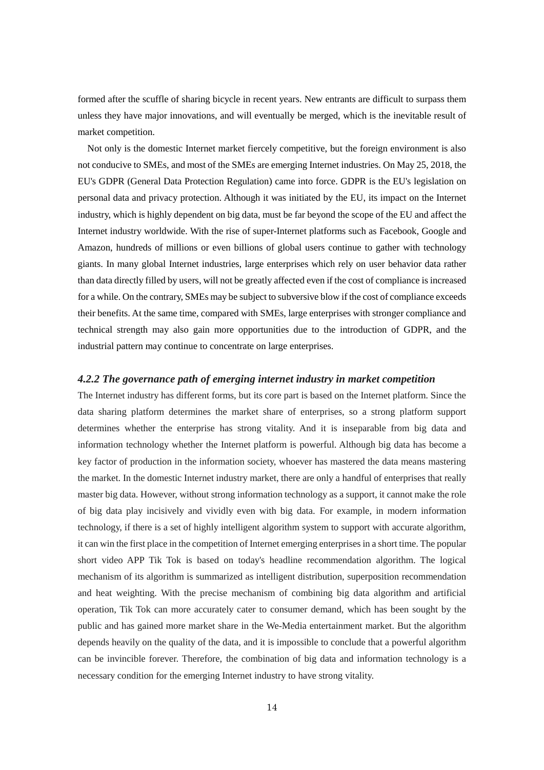formed after the scuffle of sharing bicycle in recent years. New entrants are difficult to surpass them unless they have major innovations, and will eventually be merged, which is the inevitable result of market competition.

Not only is the domestic Internet market fiercely competitive, but the foreign environment is also not conducive to SMEs, and most of the SMEs are emerging Internet industries. On May 25, 2018, the EU's GDPR (General Data Protection Regulation) came into force. GDPR is the EU's legislation on personal data and privacy protection. Although it was initiated by the EU, its impact on the Internet industry, which is highly dependent on big data, must be far beyond the scope of the EU and affect the Internet industry worldwide. With the rise of super-Internet platforms such as Facebook, Google and Amazon, hundreds of millions or even billions of global users continue to gather with technology giants. In many global Internet industries, large enterprises which rely on user behavior data rather than data directly filled by users, will not be greatly affected even if the cost of compliance is increased for a while. On the contrary, SMEs may be subject to subversive blow if the cost of compliance exceeds their benefits. At the same time, compared with SMEs, large enterprises with stronger compliance and technical strength may also gain more opportunities due to the introduction of GDPR, and the industrial pattern may continue to concentrate on large enterprises.

#### *4.2.2 The governance path of emerging internet industry in market competition*

The Internet industry has different forms, but its core part is based on the Internet platform. Since the data sharing platform determines the market share of enterprises, so a strong platform support determines whether the enterprise has strong vitality. And it is inseparable from big data and information technology whether the Internet platform is powerful. Although big data has become a key factor of production in the information society, whoever has mastered the data means mastering the market. In the domestic Internet industry market, there are only a handful of enterprises that really master big data. However, without strong information technology as a support, it cannot make the role of big data play incisively and vividly even with big data. For example, in modern information technology, if there is a set of highly intelligent algorithm system to support with accurate algorithm, it can win the first place in the competition of Internet emerging enterprisesin a short time. The popular short video APP Tik Tok is based on today's headline recommendation algorithm. The logical mechanism of its algorithm is summarized as intelligent distribution, superposition recommendation and heat weighting. With the precise mechanism of combining big data algorithm and artificial operation, Tik Tok can more accurately cater to consumer demand, which has been sought by the public and has gained more market share in the We-Media entertainment market. But the algorithm depends heavily on the quality of the data, and it is impossible to conclude that a powerful algorithm can be invincible forever. Therefore, the combination of big data and information technology is a necessary condition for the emerging Internet industry to have strong vitality.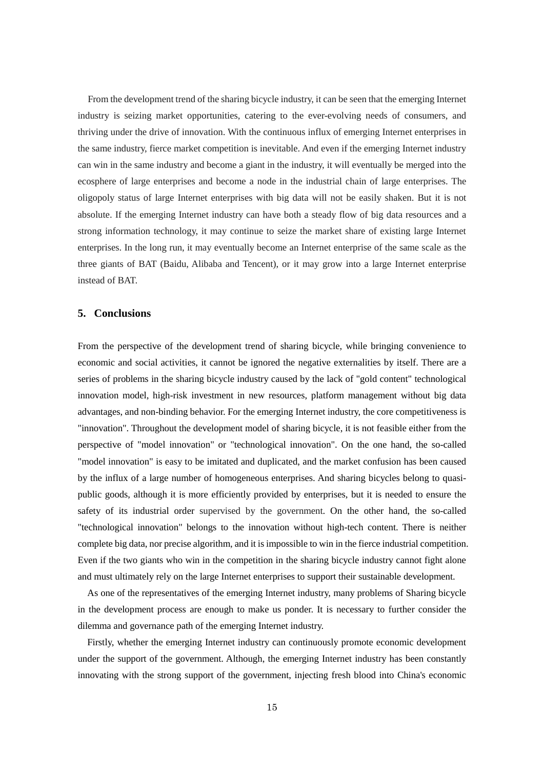From the development trend of the sharing bicycle industry, it can be seen that the emerging Internet industry is seizing market opportunities, catering to the ever-evolving needs of consumers, and thriving under the drive of innovation. With the continuous influx of emerging Internet enterprises in the same industry, fierce market competition is inevitable. And even if the emerging Internet industry can win in the same industry and become a giant in the industry, it will eventually be merged into the ecosphere of large enterprises and become a node in the industrial chain of large enterprises. The oligopoly status of large Internet enterprises with big data will not be easily shaken. But it is not absolute. If the emerging Internet industry can have both a steady flow of big data resources and a strong information technology, it may continue to seize the market share of existing large Internet enterprises. In the long run, it may eventually become an Internet enterprise of the same scale as the three giants of BAT (Baidu, Alibaba and Tencent), or it may grow into a large Internet enterprise instead of BAT.

#### **5. Conclusions**

From the perspective of the development trend of sharing bicycle, while bringing convenience to economic and social activities, it cannot be ignored the negative externalities by itself. There are a series of problems in the sharing bicycle industry caused by the lack of "gold content" technological innovation model, high-risk investment in new resources, platform management without big data advantages, and non-binding behavior. For the emerging Internet industry, the core competitiveness is "innovation". Throughout the development model of sharing bicycle, it is not feasible either from the perspective of "model innovation" or "technological innovation". On the one hand, the so-called "model innovation" is easy to be imitated and duplicated, and the market confusion has been caused by the influx of a large number of homogeneous enterprises. And sharing bicycles belong to quasipublic goods, although it is more efficiently provided by enterprises, but it is needed to ensure the safety of its industrial order supervised by the government. On the other hand, the so-called "technological innovation" belongs to the innovation without high-tech content. There is neither complete big data, nor precise algorithm, and it is impossible to win in the fierce industrial competition. Even if the two giants who win in the competition in the sharing bicycle industry cannot fight alone and must ultimately rely on the large Internet enterprises to support their sustainable development.

As one of the representatives of the emerging Internet industry, many problems of Sharing bicycle in the development process are enough to make us ponder. It is necessary to further consider the dilemma and governance path of the emerging Internet industry.

Firstly, whether the emerging Internet industry can continuously promote economic development under the support of the government. Although, the emerging Internet industry has been constantly innovating with the strong support of the government, injecting fresh blood into China's economic